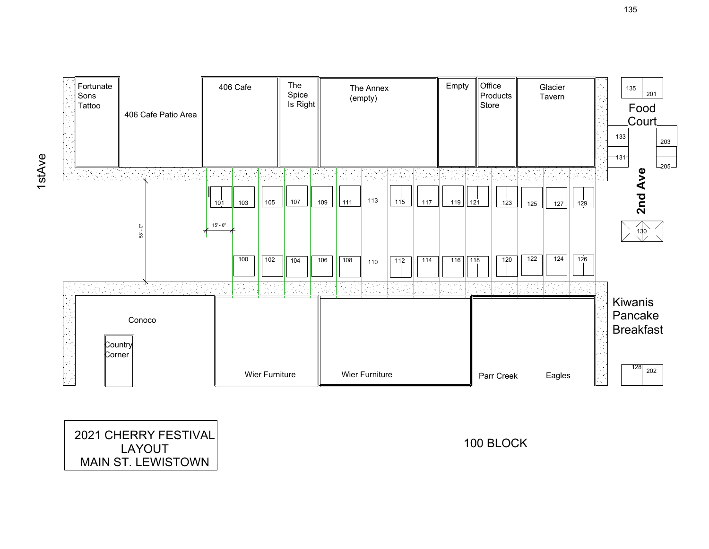

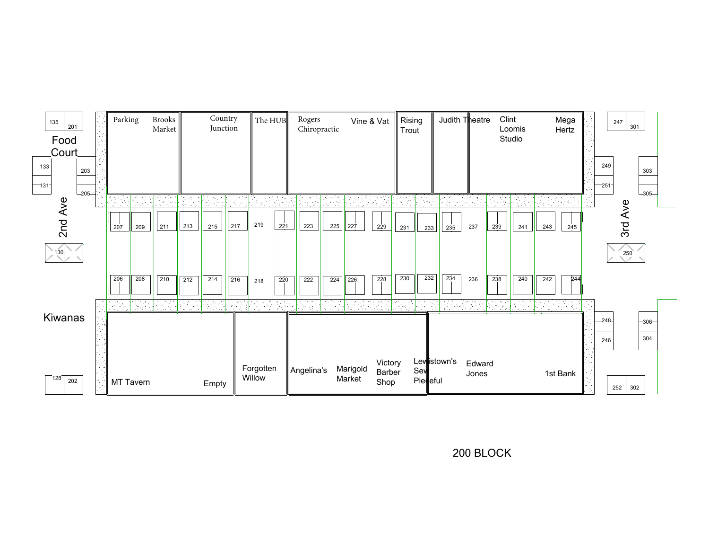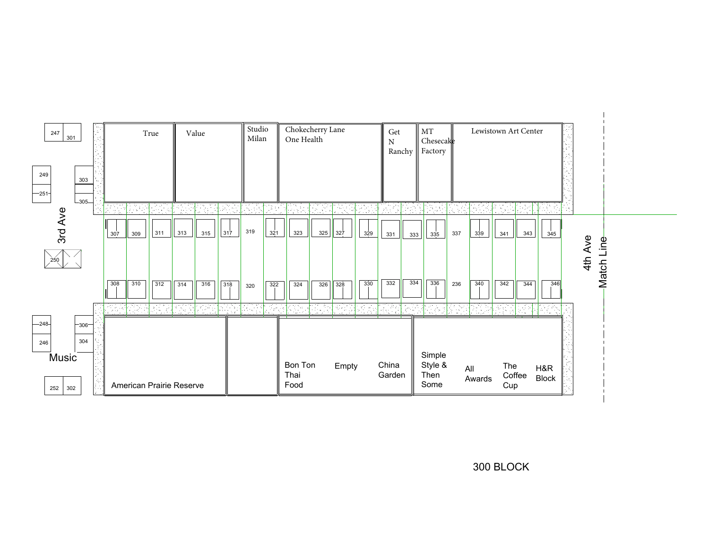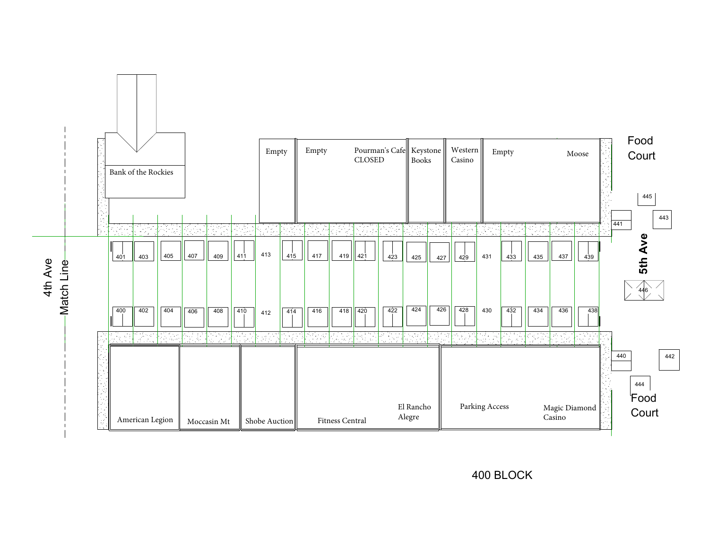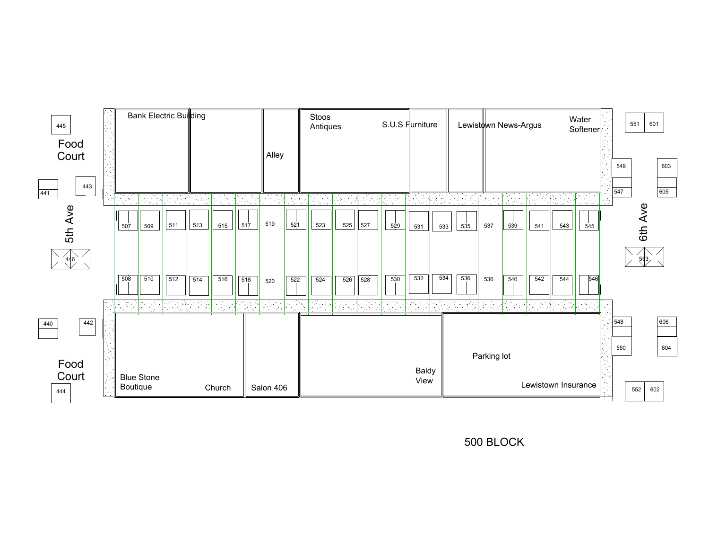